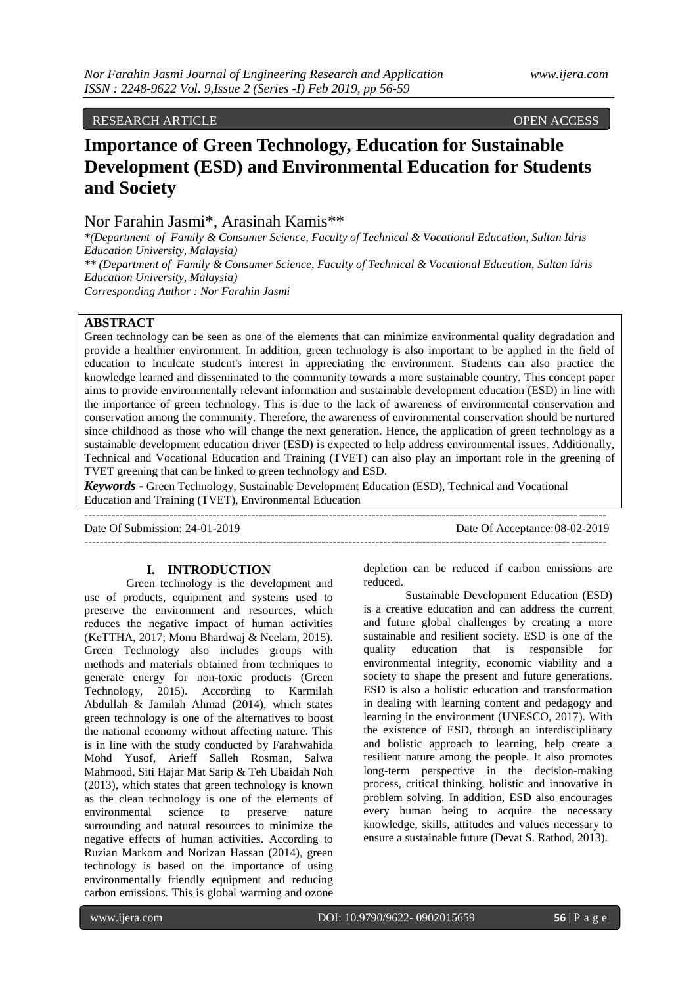RESEARCH ARTICLE OPEN ACCESS

# **Importance of Green Technology, Education for Sustainable Development (ESD) and Environmental Education for Students and Society**

Nor Farahin Jasmi\*, Arasinah Kamis\*\*

*\*(Department of Family & Consumer Science, Faculty of Technical & Vocational Education, Sultan Idris Education University, Malaysia) \*\* (Department of Family & Consumer Science, Faculty of Technical & Vocational Education, Sultan Idris Education University, Malaysia)*

*Corresponding Author : Nor Farahin Jasmi*

## **ABSTRACT**

Green technology can be seen as one of the elements that can minimize environmental quality degradation and provide a healthier environment. In addition, green technology is also important to be applied in the field of education to inculcate student's interest in appreciating the environment. Students can also practice the knowledge learned and disseminated to the community towards a more sustainable country. This concept paper aims to provide environmentally relevant information and sustainable development education (ESD) in line with the importance of green technology. This is due to the lack of awareness of environmental conservation and conservation among the community. Therefore, the awareness of environmental conservation should be nurtured since childhood as those who will change the next generation. Hence, the application of green technology as a sustainable development education driver (ESD) is expected to help address environmental issues. Additionally, Technical and Vocational Education and Training (TVET) can also play an important role in the greening of TVET greening that can be linked to green technology and ESD.

*Keywords* **-** Green Technology, Sustainable Development Education (ESD), Technical and Vocational Education and Training (TVET), Environmental Education

--------------------------------------------------------------------------------------------------------------------------------------

Date Of Submission: 24-01-2019 Date Of Acceptance:08-02-2019 --------------------------------------------------------------------------------------------------------------------------------------

# **I. INTRODUCTION**

Green technology is the development and use of products, equipment and systems used to preserve the environment and resources, which reduces the negative impact of human activities (KeTTHA, 2017; Monu Bhardwaj & Neelam, 2015). Green Technology also includes groups with methods and materials obtained from techniques to generate energy for non-toxic products (Green Technology, 2015). According to Karmilah Abdullah & Jamilah Ahmad (2014), which states green technology is one of the alternatives to boost the national economy without affecting nature. This is in line with the study conducted by Farahwahida Mohd Yusof, Arieff Salleh Rosman, Salwa Mahmood, Siti Hajar Mat Sarip & Teh Ubaidah Noh (2013), which states that green technology is known as the clean technology is one of the elements of environmental science to preserve nature surrounding and natural resources to minimize the negative effects of human activities. According to Ruzian Markom and Norizan Hassan (2014), green technology is based on the importance of using environmentally friendly equipment and reducing carbon emissions. This is global warming and ozone

depletion can be reduced if carbon emissions are reduced.

Sustainable Development Education (ESD) is a creative education and can address the current and future global challenges by creating a more sustainable and resilient society. ESD is one of the quality education that is responsible for environmental integrity, economic viability and a society to shape the present and future generations. ESD is also a holistic education and transformation in dealing with learning content and pedagogy and learning in the environment (UNESCO, 2017). With the existence of ESD, through an interdisciplinary and holistic approach to learning, help create a resilient nature among the people. It also promotes long-term perspective in the decision-making process, critical thinking, holistic and innovative in problem solving. In addition, ESD also encourages every human being to acquire the necessary knowledge, skills, attitudes and values necessary to ensure a sustainable future (Devat S. Rathod, 2013).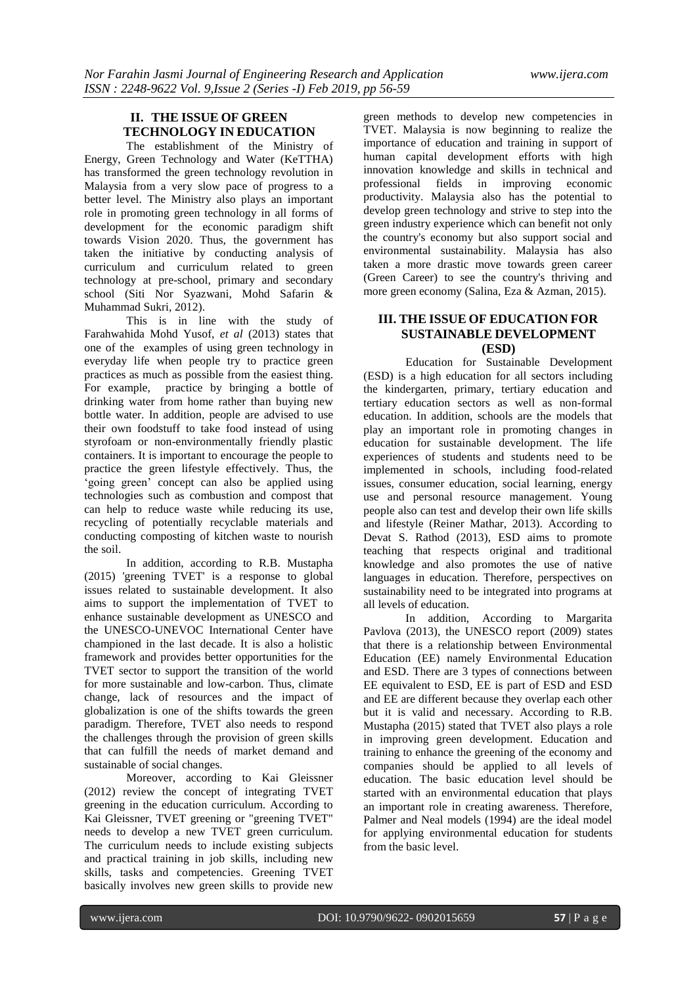## **II. THE ISSUE OF GREEN TECHNOLOGY IN EDUCATION**

The establishment of the Ministry of Energy, Green Technology and Water (KeTTHA) has transformed the green technology revolution in Malaysia from a very slow pace of progress to a better level. The Ministry also plays an important role in promoting green technology in all forms of development for the economic paradigm shift towards Vision 2020. Thus, the government has taken the initiative by conducting analysis of curriculum and curriculum related to green technology at pre-school, primary and secondary school (Siti Nor Syazwani, Mohd Safarin & Muhammad Sukri, 2012).

This is in line with the study of Farahwahida Mohd Yusof, *et al* (2013) states that one of the examples of using green technology in everyday life when people try to practice green practices as much as possible from the easiest thing. For example, practice by bringing a bottle of drinking water from home rather than buying new bottle water. In addition, people are advised to use their own foodstuff to take food instead of using styrofoam or non-environmentally friendly plastic containers. It is important to encourage the people to practice the green lifestyle effectively. Thus, the 'going green' concept can also be applied using technologies such as combustion and compost that can help to reduce waste while reducing its use, recycling of potentially recyclable materials and conducting composting of kitchen waste to nourish the soil.

In addition, according to R.B. Mustapha (2015) 'greening TVET' is a response to global issues related to sustainable development. It also aims to support the implementation of TVET to enhance sustainable development as UNESCO and the UNESCO-UNEVOC International Center have championed in the last decade. It is also a holistic framework and provides better opportunities for the TVET sector to support the transition of the world for more sustainable and low-carbon. Thus, climate change, lack of resources and the impact of globalization is one of the shifts towards the green paradigm. Therefore, TVET also needs to respond the challenges through the provision of green skills that can fulfill the needs of market demand and sustainable of social changes.

Moreover, according to Kai Gleissner (2012) review the concept of integrating TVET greening in the education curriculum. According to Kai Gleissner, TVET greening or "greening TVET" needs to develop a new TVET green curriculum. The curriculum needs to include existing subjects and practical training in job skills, including new skills, tasks and competencies. Greening TVET basically involves new green skills to provide new

green methods to develop new competencies in TVET. Malaysia is now beginning to realize the importance of education and training in support of human capital development efforts with high innovation knowledge and skills in technical and professional fields in improving economic productivity. Malaysia also has the potential to develop green technology and strive to step into the green industry experience which can benefit not only the country's economy but also support social and environmental sustainability. Malaysia has also taken a more drastic move towards green career (Green Career) to see the country's thriving and more green economy (Salina, Eza & Azman, 2015).

### **III. THE ISSUE OF EDUCATION FOR SUSTAINABLE DEVELOPMENT (ESD)**

Education for Sustainable Development (ESD) is a high education for all sectors including the kindergarten, primary, tertiary education and tertiary education sectors as well as non-formal education. In addition, schools are the models that play an important role in promoting changes in education for sustainable development. The life experiences of students and students need to be implemented in schools, including food-related issues, consumer education, social learning, energy use and personal resource management. Young people also can test and develop their own life skills and lifestyle (Reiner Mathar, 2013). According to Devat S. Rathod (2013), ESD aims to promote teaching that respects original and traditional knowledge and also promotes the use of native languages in education. Therefore, perspectives on sustainability need to be integrated into programs at all levels of education.

In addition, According to Margarita Pavlova (2013), the UNESCO report (2009) states that there is a relationship between Environmental Education (EE) namely Environmental Education and ESD. There are 3 types of connections between EE equivalent to ESD, EE is part of ESD and ESD and EE are different because they overlap each other but it is valid and necessary. According to R.B. Mustapha (2015) stated that TVET also plays a role in improving green development. Education and training to enhance the greening of the economy and companies should be applied to all levels of education. The basic education level should be started with an environmental education that plays an important role in creating awareness. Therefore, Palmer and Neal models (1994) are the ideal model for applying environmental education for students from the basic level.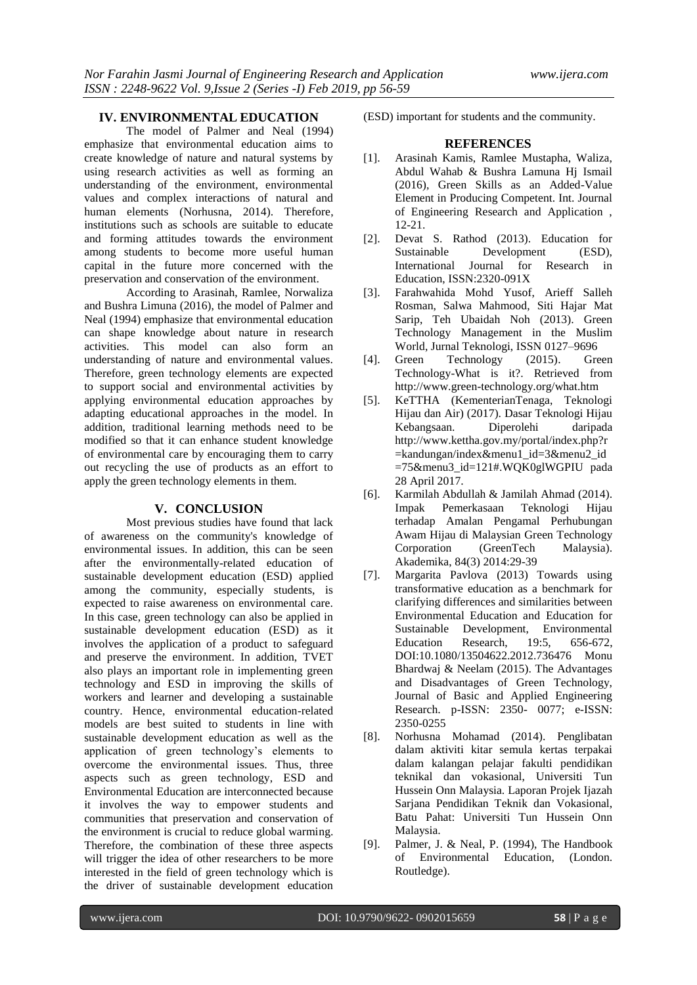### **IV. ENVIRONMENTAL EDUCATION**

The model of Palmer and Neal (1994) emphasize that environmental education aims to create knowledge of nature and natural systems by using research activities as well as forming an understanding of the environment, environmental values and complex interactions of natural and human elements (Norhusna, 2014). Therefore, institutions such as schools are suitable to educate and forming attitudes towards the environment among students to become more useful human capital in the future more concerned with the preservation and conservation of the environment.

According to Arasinah, Ramlee, Norwaliza and Bushra Limuna (2016), the model of Palmer and Neal (1994) emphasize that environmental education can shape knowledge about nature in research activities. This model can also form an understanding of nature and environmental values. Therefore, green technology elements are expected to support social and environmental activities by applying environmental education approaches by adapting educational approaches in the model. In addition, traditional learning methods need to be modified so that it can enhance student knowledge of environmental care by encouraging them to carry out recycling the use of products as an effort to apply the green technology elements in them.

#### **V. CONCLUSION**

Most previous studies have found that lack of awareness on the community's knowledge of environmental issues. In addition, this can be seen after the environmentally-related education of sustainable development education (ESD) applied among the community, especially students, is expected to raise awareness on environmental care. In this case, green technology can also be applied in sustainable development education (ESD) as it involves the application of a product to safeguard and preserve the environment. In addition, TVET also plays an important role in implementing green technology and ESD in improving the skills of workers and learner and developing a sustainable country. Hence, environmental education-related models are best suited to students in line with sustainable development education as well as the application of green technology's elements to overcome the environmental issues. Thus, three aspects such as green technology, ESD and Environmental Education are interconnected because it involves the way to empower students and communities that preservation and conservation of the environment is crucial to reduce global warming. Therefore, the combination of these three aspects will trigger the idea of other researchers to be more interested in the field of green technology which is the driver of sustainable development education

(ESD) important for students and the community.

#### **REFERENCES**

- [1]. Arasinah Kamis, Ramlee Mustapha, Waliza, Abdul Wahab & Bushra Lamuna Hj Ismail (2016), Green Skills as an Added-Value Element in Producing Competent. Int. Journal of Engineering Research and Application , 12-21.
- [2]. Devat S. Rathod (2013). Education for Sustainable Development (ESD), International Journal for Research in Education, ISSN:2320-091X
- [3]. Farahwahida Mohd Yusof, Arieff Salleh Rosman, Salwa Mahmood, Siti Hajar Mat Sarip, Teh Ubaidah Noh (2013). Green Technology Management in the Muslim World, Jurnal Teknologi, ISSN 0127–9696
- [4]. Green Technology (2015). Green Technology-What is it?. Retrieved from http://www.green-technology.org/what.htm
- [5]. KeTTHA (KementerianTenaga, Teknologi Hijau dan Air) (2017). Dasar Teknologi Hijau Kebangsaan. Diperolehi daripada http://www.kettha.gov.my/portal/index.php?r =kandungan/index&menu1\_id=3&menu2\_id =75&menu3\_id=121#.WQK0glWGPIU pada 28 April 2017.
- [6]. Karmilah Abdullah & Jamilah Ahmad (2014). Impak Pemerkasaan Teknologi Hijau terhadap Amalan Pengamal Perhubungan Awam Hijau di Malaysian Green Technology Corporation (GreenTech Malaysia). Akademika, 84(3) 2014:29-39
- [7]. Margarita Pavlova (2013) Towards using transformative education as a benchmark for clarifying differences and similarities between Environmental Education and Education for Sustainable Development, Environmental Education Research, 19:5, 656-672, DOI:10.1080/13504622.2012.736476 Monu Bhardwaj & Neelam (2015). The Advantages and Disadvantages of Green Technology, Journal of Basic and Applied Engineering Research. p-ISSN: 2350- 0077; e-ISSN: 2350-0255
- [8]. Norhusna Mohamad (2014). Penglibatan dalam aktiviti kitar semula kertas terpakai dalam kalangan pelajar fakulti pendidikan teknikal dan vokasional, Universiti Tun Hussein Onn Malaysia. Laporan Projek Ijazah Sarjana Pendidikan Teknik dan Vokasional, Batu Pahat: Universiti Tun Hussein Onn Malaysia.
- [9]. Palmer, J. & Neal, P. (1994), The Handbook of Environmental Education, (London. Routledge).